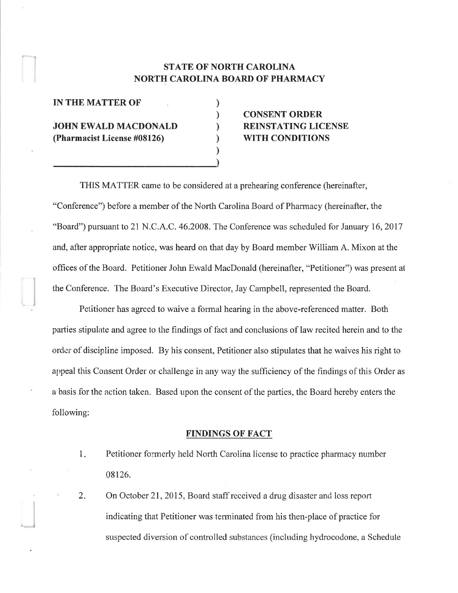### STATE OF NORTH CAROLINA NORTH CAROLINA BOARD OF PHARMACY

) ) ) ) ) )

IN THE MATTER OF

JOHN EWALD MACDONALD (Pharmacist License #08126)

# CONSENT ORDER REINSTATING LICENSE WITH CONDITIONS

THIS MATTER came to be considered at a prehearing conference (hereinafter, "Conference") before a member of the North Carolina Board of Pharmacy (hereinafter, the "Board") pursuant to 21 N.C.A.C.46.2008. The Conference was scheduled for January 16,2017 and, after appropriate notice, was heard on that day by Board member William A. Mixon at the offices of the Board. Petitioner John Ewald MacDonald (hereinafter, "Petitioner") was present at the Conference. The Board's Executive Director, Jay Campbell, represented the Board.

Petitioner has agreed to waive a formal hearing in the above-referenced matter. Both parties stipulate and agree to 1he findings of fact and conclusions of law recited herein and to the order of discipline imposed. By his consent, Petitioner also stipulates that he waives his right to appeal this Consent Order or challenge in any way the sufficiency of the findings of this Order as a basis for the action taken. Based upon the consent of the parties, the Board hereby enters the following:

### FINDINGS OF FACT

- Petitioner formerly held North Carolina license to practice pharmacy number 08126.  $1.$
- On October 21, 2015, Board staff received a drug disaster and loss report indicating that Petitioner was terminated from his then-place of practice for suspected diversion of controlled substances (including hydrocodone, a Schedule  $2.$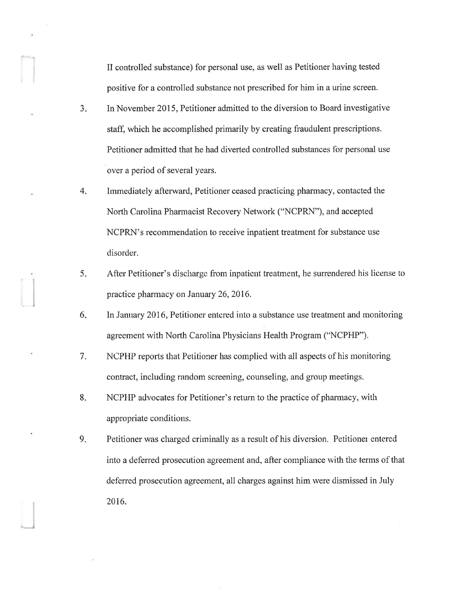II controlled substance) for personal use, as well as Petitioner having tested positive for a controlled substance not prescribed for him in a urine screen.

I

- In November 2015, Petitioner admitted to the diversion to Board investigative staff, which he accomplished primarily by creating fraudulent prescriptions. Petitioner admitted that he had diverted controlled substances for personal use over a period of several years.  $3<sub>1</sub>$
- hnmediately afterward, Petitioner ceased practicing pharmacy, contacted the North Carolina Pharmacist Recovery Network ("NCPRN"), and accepted NCPRN's recommendation to receive inpatient treatment for substance use disorder. 4.
- After Petitioner's discharge from inpatient treatment, he surrendered his license to practice pharmacy on January 26, 2016. 5.
- In January 2016, Petitioner entered into a substance use treatment and monitoring agreement with North Carolina Physicians Health Program ("NCPHP"). 6
- NCPIIP reports that Petitioner has complied with all aspects of his monitoring contract, including random screening, counseling, and group meetings. 7
- NCPHP advocates for Petitioner's return to the practice of pharmacy, with appropriate conditions.  $8.5$
- Petitioner was charged criminally as a result of his diversion. Petitioner entered into a deferred prosecution agreement and, after compliance with the terms of that deferred prosecution agreement, all charges against him were dismissed in July 2016. 9.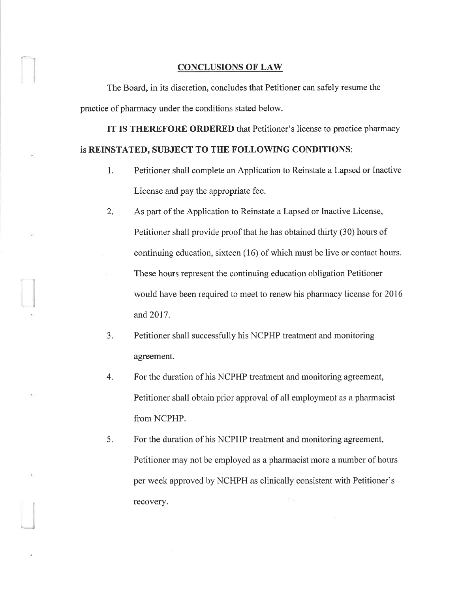#### CONCLUSIONS OF LAW

The Board, in its discretion, concludes that Petitioner can safely resume the practice of pharmacy under the conditions stated below.

IT IS THEREFORE ORDERED that Petitioner's license to practice pharmacy is REINSTATED, SUBJECT TO THE FOLLOWING CONDITIONS:

- 1. Petitioner shall complete an Application to Reinstate a Lapsed or Inactive License and pay the appropriate fee.
- 2. As part of the Application to Reinstate a Lapsed or Inactive License, Petitioner shall provide proof that he has obtained thirty (30) hours of continuing education, sixteen (16) of which must be live or contact hours. These hours represent the continuing education obligation Petitioner would have been required to meet to renew his pharmacy license for 2016 and 2017.
- 3. Petitioner shall successfully his NCPHP treatment and monitoring agreement.
- 4. For the duration of his NCPHP treatment and monitoring agreement, Petitioner shall obtain prior approval of all employment as a pharmacist from NCPHP.
- 5. For the duration of his NCPHP treatment and monitoring agreement, Petitioner may not be employed as a pharmacist more a number of hours per week approvecl by NCHPH as clinically consistent with Petitioner's recovery.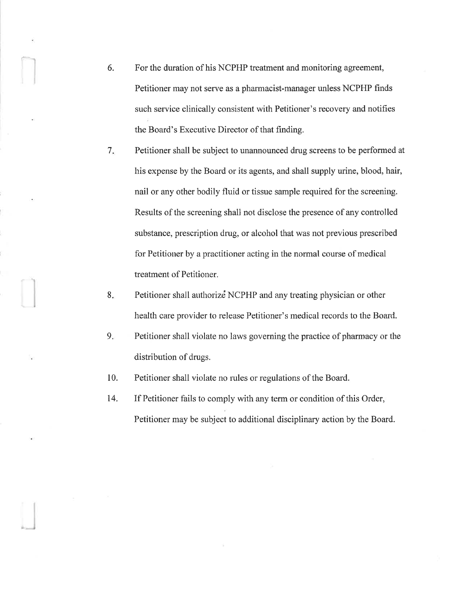6. For the duration of his NCPHP treatment and monitoring agreement, Petitioner may not serve as a pharmacist-manager unless NCPHP finds such service clinically consistent with Petitioner's recovery and notifies the Board's Executive Director of that finding.

lj

- 7 Petitioner shall be subject to unannounced drug screens to be performed at his expense by the Board or its agents, and shall supply urine, blood, hair, nail or any other bodily fluid or tissue sample required for the screening. Results of the screening shall not disclose the presence of any controlled substance, prescription drug, or alcohol that was not previous prescribed for Petitioner by a practitioner acting in the normal course of medical treatment of Petitioner.
- Petitioner shall authorize NCPHP and any treating physician or other health care provider to release Petitioner's medical records to the Board.  $8.$
- Petitioner shall violate no laws governing the practice of pharmacy or the distribution of drugs. 9.
- 10. Petitioner shall violate no rules or regulations of the Board.
- t4. If Petitioner fàils to comply with any term or condition of this Order, Petitioner may be subject to additional disciplinary action by the Board.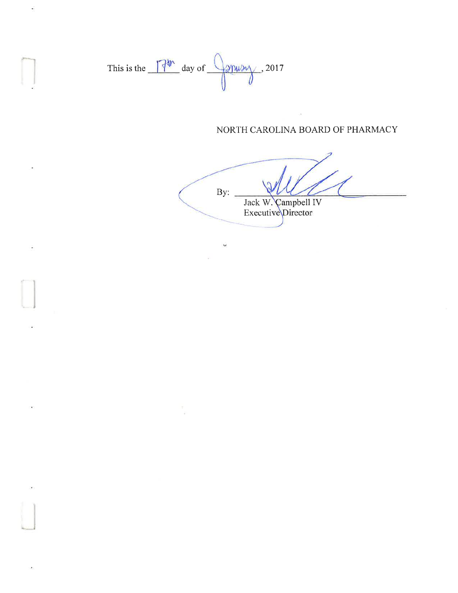This is the  $\sqrt{4^{\frac{3}{2}}}\,$  day of  $\sqrt{2^{\frac{3}{2}}\,}$ , 2017

 $\overline{\mathbf{u}}$ 

 $\tilde{\Sigma}$ 

ä,

## NORTH CAROLINA BOARD OF PHARMACY

 $\tilde{\omega}$ 

 $By:$ Jack W. Campbell IV<br>Executive Director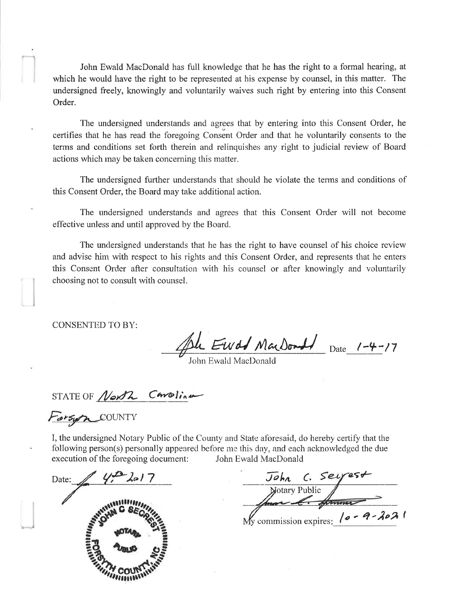John Ewald MacDonald has full knowledge that he has the right to a formal hearing, at which he would have the right to be represented at his expense by counsel, in this matter. The undersigned freely, knowingly and voluntarily waives such right by entering into this Consent Order.

The undersigned understands and agrees that by entering into this Consent Order, he certifies that he has read the foregoing Consent Order and that he voluntarily consents to the terms and conditions set forth therein and relinquishes any right to judicial review of Board actions which may be taken concerning this matter.

The undersigned further understands that should he violate the terms and conditions of this Consent Order, the Board may take additional action.

The undersigned understands and agrees that this Consent Order will not become effective unless and until approved by the Board.

The undersigned understands that he has the right to have counsel of his choice review and advise him with respect to his rights and this Consent Order, and represents that he enters this Consent Order after consultation with his counsel or after knowingly and voluntarily choosing not to consult with counsel.

**CONSENTED TO BY:** 

John Ewald MarDonald Date 1-4-17

STATE OF North Carolina

Forsyn COUNTY

I, the undersigned Notary Public of the County and State aforesaid, do hereby certify that the following person(s) personally appeared before me this day, and each acknowledged the due execution of the foregoing document: John Ewald MacDonald

 $4-2017$ Date:

John C. Seyest<br>Notary Public My commission expires:  $10 - 9 - 2021$